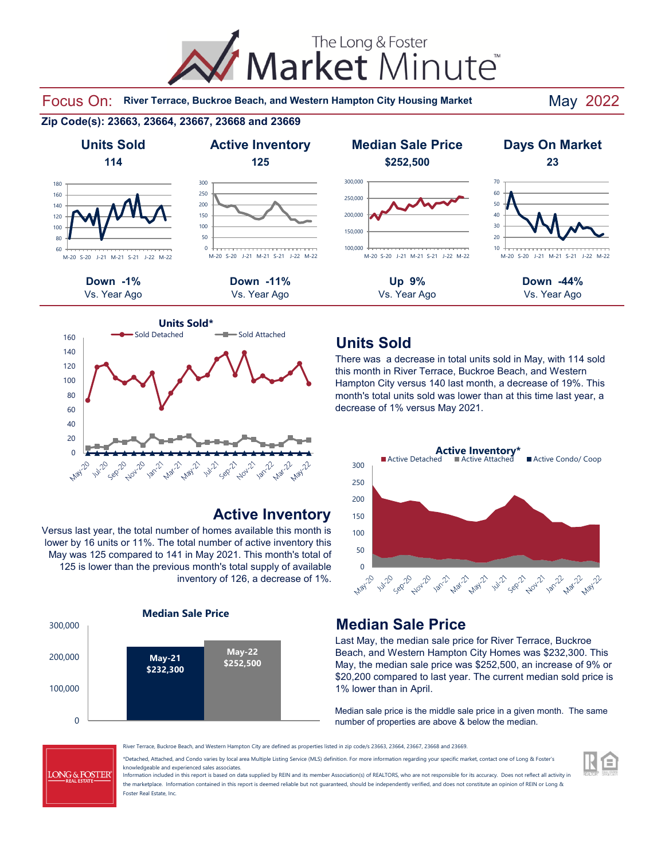The Long & Foster Market Minute®

Focus On: River Terrace, Buckroe Beach, and Western Hampton City Housing Market May 2022

#### **Zip Code(s): 23663, 23664, 23667, 23668 and 23669**





#### **Active Inventory**

Versus last year, the total number of homes available this month is lower by 16 units or 11%. The total number of active inventory this May was 125 compared to 141 in May 2021. This month's total of 125 is lower than the previous month's total supply of available inventory of 126, a decrease of 1%.



## **Units Sold**

There was a decrease in total units sold in May, with 114 sold this month in River Terrace, Buckroe Beach, and Western Hampton City versus 140 last month, a decrease of 19%. This month's total units sold was lower than at this time last year, a decrease of 1% versus May 2021.



#### **Median Sale Price**

Last May, the median sale price for River Terrace, Buckroe Beach, and Western Hampton City Homes was \$232,300. This May, the median sale price was \$252,500, an increase of 9% or \$20,200 compared to last year. The current median sold price is 1% lower than in April.

Median sale price is the middle sale price in a given month. The same number of properties are above & below the median.



River Terrace, Buckroe Beach, and Western Hampton City are defined as properties listed in zip code/s 23663, 23664, 23667, 23668 and 23669.

\*Detached, Attached, and Condo varies by local area Multiple Listing Service (MLS) definition. For more information regarding your specific market, contact one of Long & Foster's knowledgeable and experienced sales associates.

Information included in this report is based on data supplied by REIN and its member Association(s) of REALTORS, who are not responsible for its accuracy. Does not reflect all activity in the marketplace. Information contained in this report is deemed reliable but not guaranteed, should be independently verified, and does not constitute an opinion of REIN or Long & Foster Real Estate, Inc.